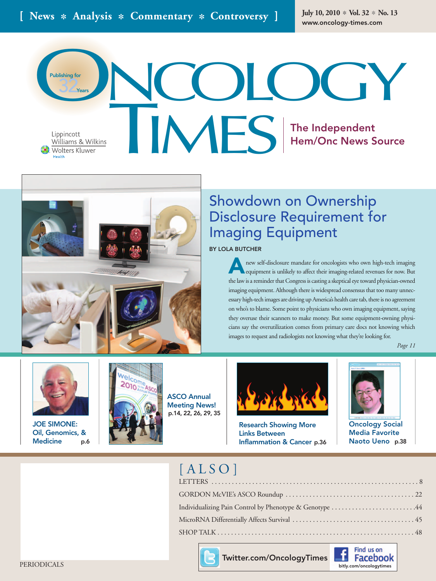**July 10, 2010** ✽ **Vol. 32** ✽ **No. 13**

Lippincott **Wolters Kluwer** Health

**Years**

**Publishing for**

32

**COLOGY** TIMES **The Independent Hem/Onc News Source**



# Showdown on Ownership Disclosure Requirement for Imaging Equipment

## **BY LOLA BUTCHER**

**A**new self-disclosure mandate for oncologists who own high-tech imaging equipment is unlikely to affect their imaging-related revenues for now. But the law is a reminder that Congress is casting a skeptical eye toward physician-owned imaging equipment. Although there is widespread consensus that too many unnecessary high-tech images are driving up America's health care tab, there is no agreement on who's to blame. Some point to physicians who own imaging equipment, saying they overuse their scanners to make money. But some equipment-owning physicians say the overutilization comes from primary care docs not knowing which images to request and radiologists not knowing what they're looking for.

*Page 11*



**JOE SIMONE: Oil, Genomics, & Medicine p.6**



**ASCO Annual Meeting News! p.14, 22, 26, 29, 35**



**Research Showing More Links Between Inflammation & Cancer p.36**



**Oncology Social Media Favorite Naoto Ueno p.38**

## $[ALSO]$

| Individualizing Pain Control by Phenotype & Genotype 44 |
|---------------------------------------------------------|
|                                                         |
|                                                         |



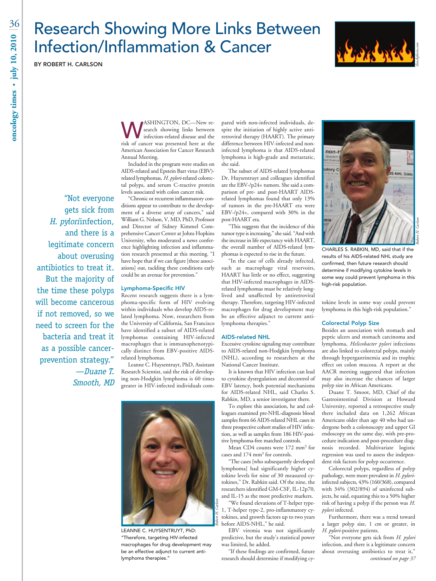# Research Showing More Links Between Infection/Inflammation & Cancer

**BY ROBERT H. CARLSON**

"Not everyone gets sick from

and there is a

H. pyloriinfection,

legitimate concern

antibiotics to treat it.

the time these polyps will become cancerous if not removed, so we

need to screen for the

bacteria and treat it

as a possible cancer-

prevention strategy."

—Duane T. Smooth, MD

But the majority of

about overusing



WASHINGTON, DC—New re-<br>
infection-related disease and the<br>
risk of capacar was presented bere at the search showing links between risk of cancer was presented here at the American Association for Cancer Research Annual Meeting.

Included in the program were studies on AIDS-related and Epstein Barr virus (EBV) related lymphomas, *H. pylori*-related colorectal polyps, and serum C-reactive protein levels associated with colon cancer risk.

"Chronic or recurrent inflammatory conditions appear to contribute to the development of a diverse array of cancers," said William G. Nelson, V, MD, PhD, Professor and Director of Sidney Kimmel Comprehensive Cancer Center at Johns Hopkins University, who moderated a news conference highlighting infection and inflammation research presented at this meeting. "I have hope that if we can figure [these associations] out, tackling these conditions early could be an avenue for prevention."

### **Lymphoma-Specific HIV**

Recent research suggests there is a lymphoma-specific form of HIV evolving within individuals who develop AIDS-related lymphoma. Now, researchers from the University of California, San Francisco have identified a subset of AIDS-related lymphomas containing HIV-infected macrophages that is immunophenotypically distinct from EBV-positive AIDSrelated lymphomas.

Leanne C. Huysentruyt, PhD, Assistant Research Scientist, said the risk of developing non-Hodgkin lymphoma is 60 times greater in HIV-infected individuals com-



LEANNE C. HUYSENTRUYT, PhD: "Therefore, targeting HIV-infected macrophages for drug development may be an effective adjunct to current antilymphoma therapies."

pared with non-infected individuals, despite the initiation of highly active antiretroviral therapy (HAART). The primary difference between HIV-infected and noninfected lymphoma is that AIDS-related lymphoma is high-grade and metastatic, she said.

The subset of AIDS-related lymphomas Dr. Huysentruyt and colleagues identified are the EBV-/p24+ tumors. She said a comparison of pre- and post-HAART AIDSrelated lymphomas found that only 13% of tumors in the pre-HAART era were EBV-/p24+, compared with 30% in the post-HAART era.

"This suggests that the incidence of this tumor type is increasing," she said. "And with the increase in life expectancy with HAART, the overall number of AIDS-related lymphomas is expected to rise in the future.

"In the case of cells already infected, such as macrophage viral reservoirs, HAART has little or no effect, suggesting that HIV-infected macrophages in AIDSrelated lymphomas must be relatively longlived and unaffected by antiretroviral therapy. Therefore, targeting HIV-infected macrophages for drug development may be an effective adjunct to current antilymphoma therapies."

### **AIDS-related NHL**

Excessive cytokine signaling may contribute to AIDS-related non-Hodgkin lymphoma (NHL), according to researchers at the National Cancer Institute.

It is known that HIV infection can lead to cytokine dysregulation and decontrol of EBV latency, both potential mechanisms for AIDS-related NHL, said Charles S. Rabkin, MD, a senior investigator there.

To explore this association, he and colleagues examined pre-NHL-diagnosis blood samples from 66 AIDS-related NHL cases in three prospective cohort studies of HIV infection, as well as samples from 186 HIV-positive lymphoma-free matched controls.

Mean CD4 counts were 172 mm<sup>3</sup> for cases and 174 mm3 for controls.

"The cases [who subsequently developed lymphoma] had significantly higher cytokine levels for nine of 30 measured cytokines," Dr. Rabkin said. Of the nine, the researchers identified GM-CSF, IL-12p70, and IL-15 as the most predictive markers.

"We found elevations of T-helper type-1, T-helper type-2, pro-inflammatory cytokines, and growth factors up to two years before AIDS-NHL," he said.

*Robert H. Carlson*

EBV viremia was not significantly predictive, but the study's statistical power was limited, he added.

"If these findings are confirmed, future research should determine if modifying cy-



CHARLES S. RABKIN, MD, said that if the results of his AIDS-related NHL study are confirmed, then future research should determine if modifying cytokine levels in some way could prevent lymphoma in this high-risk population.

tokine levels in some way could prevent lymphoma in this high-risk population."

#### **Colorectal Polyp Size**

Besides an association with stomach and peptic ulcers and stomach carcinoma and lymphoma, *Helicobacter pylori* infections are also linked to colorectal polyps, mainly through hypergastrinemia and its trophic effect on colon mucosa. A report at the AACR meeting suggested that infection may also increase the chances of larger polyp size in African Americans.

Duane T. Smoot, MD, Chief of the Gastrointestinal Division at Howard University, reported a retrospective study there included data on 1,262 African Americans older than age 40 who had undergone both a colonoscopy and upper GI endoscopy on the same day, with pre-procedure indication and post-procedure diagnosis recorded. Multivariate logistic regression was used to assess the independent risk factors for polyp occurrence.

Colorectal polyps, regardless of polyp pathology, were more prevalent in *H. pylori*infected subjects, 43% (160/368), compared with 34% (302/894) of uninfected subjects, he said, equating this to a 50% higher risk of having a polyp if the person was *H. pylori* infected.

Furthermore, there was a trend toward a larger polyp size, 1 cm or greater, in *H. pylori*-positive patients.

"Not everyone gets sick from *H. pylori* infection, and there is a legitimate concern about overusing antibiotics to treat it," continued on page 37